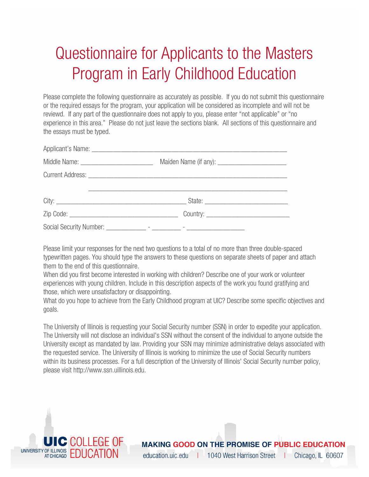# Questionnaire for Applicants to the Masters Program in Early Childhood Education

Please complete the following questionnaire as accurately as possible. If you do not submit this questionnaire or the required essays for the program, your application will be considered as incomplete and will not be reviewd. If any part of the questionnaire does not apply to you, please enter "not applicable" or "no experience in this area." Please do not just leave the sections blank. All sections of this questionnaire and the essays must be typed.

Please limit your responses for the next two questions to a total of no more than three double-spaced typewritten pages. You should type the answers to these questions on separate sheets of paper and attach them to the end of this questionnaire.

When did you first become interested in working with children? Describe one of your work or volunteer experiences with young children. Include in this description aspects of the work you found gratifying and those, which were unsatisfactory or disappointing.

What do you hope to achieve from the Early Childhood program at UIC? Describe some specific objectives and goals.

The University of Illinois is requesting your Social Security number (SSN) in order to expedite your application. The University will not disclose an individual's SSN without the consent of the individual to anyone outside the University except as mandated by law. Providing your SSN may minimize administrative delays associated with the requested service. The University of Illinois is working to minimize the use of Social Security numbers within its business processes. For a full description of the University of Illinois' Social Security number policy, please visit http://www.ssn.uillinois.edu.



#### **MAKING GOOD ON THE PROMISE OF PUBLIC EDUCATION**

education.uic.edu | 1040 West Harrison Street Chicago, IL 60607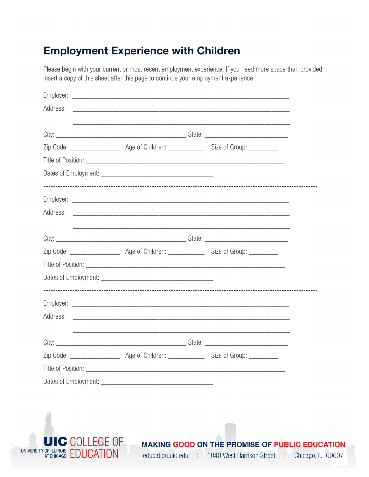### **Employment Experience with Children**

Please begin with your current or most recent employment experience. If you need more space than provided, insert a copy of this sheet after this page to continue your employment experience.

|  | <u> 1989 - Johann Stoff, amerikansk politiker (d. 1989)</u> |  |
|--|-------------------------------------------------------------|--|
|  |                                                             |  |
|  |                                                             |  |
|  |                                                             |  |
|  |                                                             |  |

education.uic.edu | 1040 West Harrison Street

Chicago, IL 60607

المعارب

UNIVERSITY OF ILLINOIS EDUCATION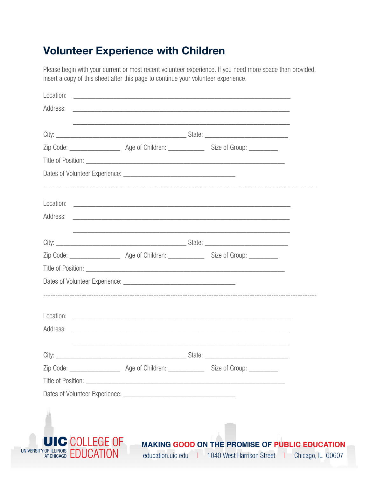# **Volunteer Experience with Children**

Please begin with your current or most recent volunteer experience. If you need more space than provided, insert a copy of this sheet after this page to continue your volunteer experience.

| Address: |  |                                                                                                                       |  |
|----------|--|-----------------------------------------------------------------------------------------------------------------------|--|
|          |  |                                                                                                                       |  |
|          |  |                                                                                                                       |  |
|          |  |                                                                                                                       |  |
|          |  |                                                                                                                       |  |
|          |  |                                                                                                                       |  |
| Address: |  | <u> 2000 - Jan Barbara de Santo de Santo de Santo de Santo de Santo de Santo de Santo de Santo de Santo de Santo </u> |  |
|          |  |                                                                                                                       |  |
|          |  |                                                                                                                       |  |
|          |  |                                                                                                                       |  |
|          |  |                                                                                                                       |  |
|          |  |                                                                                                                       |  |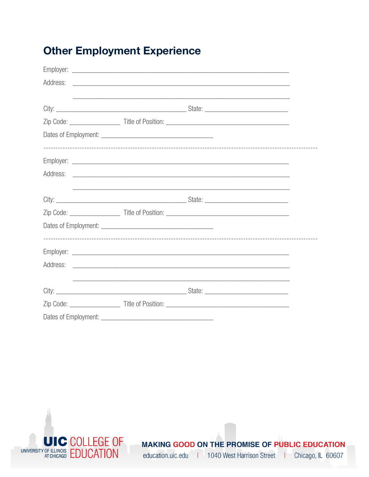# **Other Employment Experience**

|                      | <u> 1989 - Johann Stoff, amerikansk politiker (d. 1989)</u> |  |
|----------------------|-------------------------------------------------------------|--|
|                      |                                                             |  |
|                      |                                                             |  |
|                      |                                                             |  |
|                      |                                                             |  |
|                      |                                                             |  |
|                      |                                                             |  |
| Dates of Employment: |                                                             |  |



MAKING GOOD ON THE PROMISE OF PUBLIC EDUCATION education.uic.edu | 1040 West Harrison Street | Chicago, IL 60607